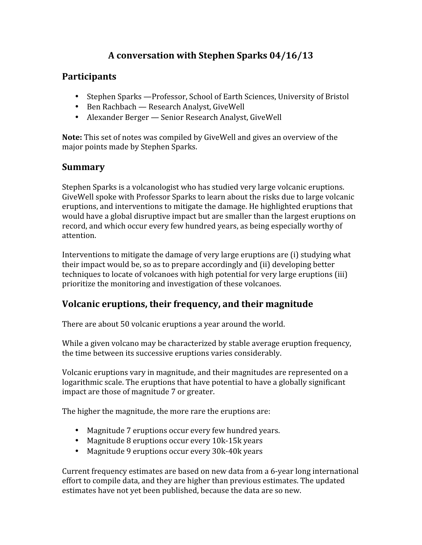# **A conversation with Stephen Sparks 04/16/13**

#### **Participants**

- Stephen Sparks —Professor, School of Earth Sciences, University of Bristol
- Ben Rachbach Research Analyst, GiveWell
- Alexander Berger Senior Research Analyst, GiveWell

**Note:** This set of notes was compiled by GiveWell and gives an overview of the major points made by Stephen Sparks.

### **Summary**

Stephen Sparks is a volcanologist who has studied very large volcanic eruptions. GiveWell spoke with Professor Sparks to learn about the risks due to large volcanic eruptions, and interventions to mitigate the damage. He highlighted eruptions that would have a global disruptive impact but are smaller than the largest eruptions on record, and which occur every few hundred years, as being especially worthy of attention.

Interventions to mitigate the damage of very large eruptions are (i) studying what their impact would be, so as to prepare accordingly and (ii) developing better techniques to locate of volcanoes with high potential for very large eruptions (iii) prioritize the monitoring and investigation of these volcanoes.

### **Volcanic eruptions, their frequency, and their magnitude**

There are about 50 volcanic eruptions a year around the world.

While a given volcano may be characterized by stable average eruption frequency, the time between its successive eruptions varies considerably.

Volcanic eruptions vary in magnitude, and their magnitudes are represented on a logarithmic scale. The eruptions that have potential to have a globally significant impact are those of magnitude 7 or greater.

The higher the magnitude, the more rare the eruptions are:

- Magnitude 7 eruptions occur every few hundred years.
- Magnitude 8 eruptions occur every 10k-15k years
- Magnitude 9 eruptions occur every 30k-40k years

Current frequency estimates are based on new data from a 6-year long international effort to compile data, and they are higher than previous estimates. The updated estimates have not yet been published, because the data are so new.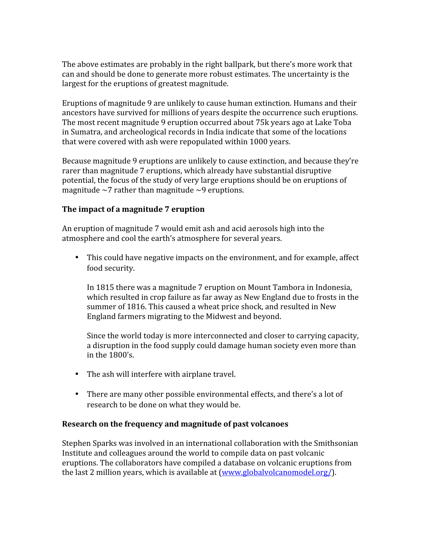The above estimates are probably in the right ballpark, but there's more work that can and should be done to generate more robust estimates. The uncertainty is the largest for the eruptions of greatest magnitude.

Eruptions of magnitude 9 are unlikely to cause human extinction. Humans and their ancestors have survived for millions of years despite the occurrence such eruptions. The most recent magnitude 9 eruption occurred about 75k years ago at Lake Toba in Sumatra, and archeological records in India indicate that some of the locations that were covered with ash were repopulated within 1000 years.

Because magnitude 9 eruptions are unlikely to cause extinction, and because they're rarer than magnitude 7 eruptions, which already have substantial disruptive potential, the focus of the study of very large eruptions should be on eruptions of magnitude  $\sim$ 7 rather than magnitude  $\sim$ 9 eruptions.

#### **The impact of a magnitude 7 eruption**

An eruption of magnitude 7 would emit ash and acid aerosols high into the atmosphere and cool the earth's atmosphere for several years.

• This could have negative impacts on the environment, and for example, affect food security.

In 1815 there was a magnitude 7 eruption on Mount Tambora in Indonesia, which resulted in crop failure as far away as New England due to frosts in the summer of 1816. This caused a wheat price shock, and resulted in New England farmers migrating to the Midwest and beyond.

Since the world today is more interconnected and closer to carrying capacity, a disruption in the food supply could damage human society even more than in the 1800's.

- The ash will interfere with airplane travel.
- There are many other possible environmental effects, and there's a lot of research to be done on what they would be.

#### **Research on the frequency and magnitude of past volcanoes**

Stephen Sparks was involved in an international collaboration with the Smithsonian Institute and colleagues around the world to compile data on past volcanic eruptions. The collaborators have compiled a database on volcanic eruptions from the last 2 million years, which is available at [\(www.globalvolcanomodel.org/\)](http://www.globalvolcanomodel.org/).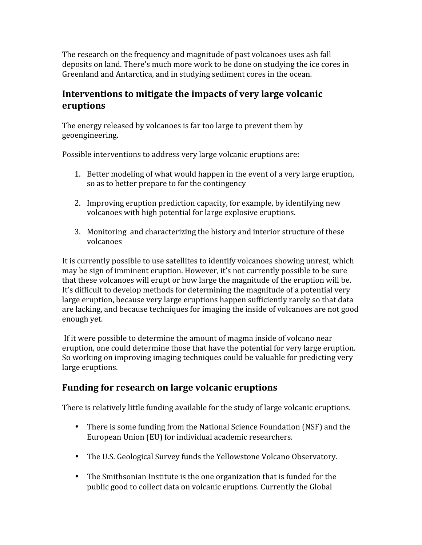The research on the frequency and magnitude of past volcanoes uses ash fall deposits on land. There's much more work to be done on studying the ice cores in Greenland and Antarctica, and in studying sediment cores in the ocean.

### **Interventions to mitigate the impacts of very large volcanic eruptions**

The energy released by volcanoes is far too large to prevent them by geoengineering.

Possible interventions to address very large volcanic eruptions are:

- 1. Better modeling of what would happen in the event of a very large eruption, so as to better prepare to for the contingency
- 2. Improving eruption prediction capacity, for example, by identifying new volcanoes with high potential for large explosive eruptions.
- 3. Monitoring and characterizing the history and interior structure of these volcanoes

It is currently possible to use satellites to identify volcanoes showing unrest, which may be sign of imminent eruption. However, it's not currently possible to be sure that these volcanoes will erupt or how large the magnitude of the eruption will be. It's difficult to develop methods for determining the magnitude of a potential very large eruption, because very large eruptions happen sufficiently rarely so that data are lacking, and because techniques for imaging the inside of volcanoes are not good enough yet.

If it were possible to determine the amount of magma inside of volcano near eruption, one could determine those that have the potential for very large eruption. So working on improving imaging techniques could be valuable for predicting very large eruptions.

### **Funding for research on large volcanic eruptions**

There is relatively little funding available for the study of large volcanic eruptions.

- There is some funding from the National Science Foundation (NSF) and the European Union (EU) for individual academic researchers.
- The U.S. Geological Survey funds the Yellowstone Volcano Observatory.
- The Smithsonian Institute is the one organization that is funded for the public good to collect data on volcanic eruptions. Currently the Global